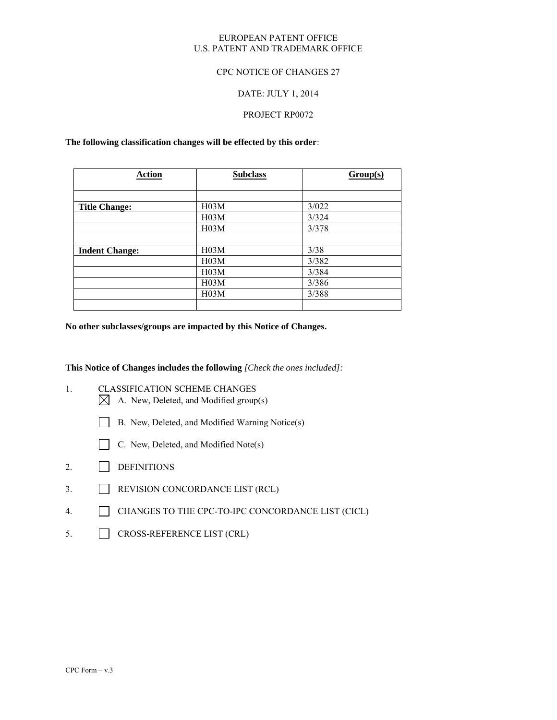#### EUROPEAN PATENT OFFICE U.S. PATENT AND TRADEMARK OFFICE

### CPC NOTICE OF CHANGES 27

### DATE: JULY 1, 2014

### PROJECT RP0072

#### **The following classification changes will be effected by this order**:

| <b>Action</b>         | <b>Subclass</b>   | Group(s) |
|-----------------------|-------------------|----------|
|                       |                   |          |
| <b>Title Change:</b>  | H <sub>03</sub> M | 3/022    |
|                       | H <sub>0</sub> 3M | 3/324    |
|                       | H <sub>0</sub> 3M | 3/378    |
|                       |                   |          |
| <b>Indent Change:</b> | H <sub>0</sub> 3M | 3/38     |
|                       | H03M              | 3/382    |
|                       | H03M              | 3/384    |
|                       | H <sub>0</sub> 3M | 3/386    |
|                       | H <sub>03</sub> M | 3/388    |
|                       |                   |          |

**No other subclasses/groups are impacted by this Notice of Changes.** 

**This Notice of Changes includes the following** *[Check the ones included]:*

- 1. CLASSIFICATION SCHEME CHANGES  $\boxtimes$  A. New, Deleted, and Modified group(s)
	- B. New, Deleted, and Modified Warning Notice(s)
	- C. New, Deleted, and Modified Note(s)
- 2. DEFINITIONS
- 3. REVISION CONCORDANCE LIST (RCL)
- 4. CHANGES TO THE CPC-TO-IPC CONCORDANCE LIST (CICL)
- 5. CROSS-REFERENCE LIST (CRL)